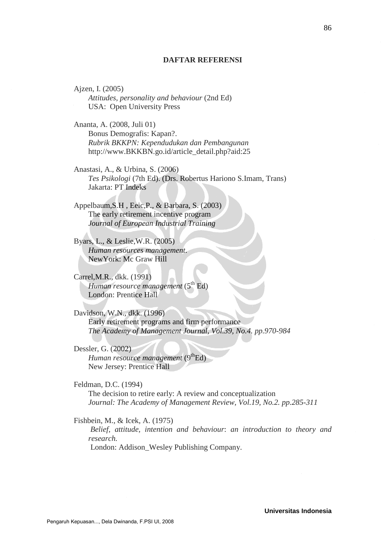## **DAFTAR REFERENSI**

Ajzen, I. (2005) *Attitudes, personality and behaviour* (2nd Ed) USA: Open University Press

Ananta, A. (2008, Juli 01) Bonus Demografis: Kapan?. *Rubrik BKKPN: Kependudukan dan Pembangunan* http://www.BKKBN.go.id/article\_detail.php?aid:25

Anastasi, A., & Urbina, S. (2006) *Tes Psikologi* (7th Ed). (Drs. Robertus Hariono S.Imam, Trans) Jakarta: PT Indeks

Appelbaum,S.H , Eeic,P., & Barbara, S. (2003) The early retirement incentive program *Journal of European Industrial Training*

Byars, L., & Leslie,W.R. (2005) *Human resources management*. NewYork: Mc Graw Hill

Carrel,M.R., dkk. (1991) *Human resource management* (5<sup>th</sup> Ed) London: Prentice Hall

Davidson, W.N., dkk. (1996) Early retirement programs and firm performance *The Academy of Management Journal, Vol.39, No.4. pp.970-984*

Dessler, G. (2002) *Human resource management* (9<sup>th</sup>Ed) New Jersey: Prentice Hall

Feldman, D.C. (1994) The decision to retire early: A review and conceptualization *Journal: The Academy of Management Review, Vol.19, No.2. pp.285-311*

Fishbein, M., & Icek, A. (1975)

*Belief, attitude, intention and behaviour*: *an introduction to theory and research.*

London: Addison\_Wesley Publishing Company.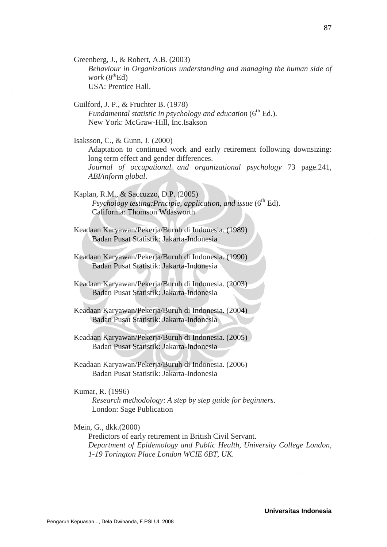Greenberg, J., & Robert, A.B. (2003) *Behaviour in Organizations understanding and managing the human side of work* (*8 th*Ed) USA: Prentice Hall.

Guilford, J. P., & Fruchter B. (1978) *Fundamental statistic in psychology and education* (6<sup>th</sup> Ed.). New York: McGraw-Hill, Inc.Isakson

Isaksson, C., & Gunn, J. (2000) Adaptation to continued work and early retirement following downsizing: long term effect and gender differences. *Journal of occupational and organizational psychology* 73 page.241, *ABI/inform global*.

Kaplan, R.M., & Saccuzzo, D.P. (2005) *Psychology testing:Prnciple, application, and issue* (6<sup>th</sup> Ed). California: Thomson Wdasworth

Keadaan Karyawan/Pekerja/Buruh di Indonesia. (1989) Badan Pusat Statistik: Jakarta-Indonesia

Keadaan Karyawan/Pekerja/Buruh di Indonesia. (1990) Badan Pusat Statistik: Jakarta-Indonesia

Keadaan Karyawan/Pekerja/Buruh di Indonesia. (2003) Badan Pusat Statistik: Jakarta-Indonesia

Keadaan Karyawan/Pekerja/Buruh di Indonesia. (2004) Badan Pusat Statistik: Jakarta-Indonesia

Keadaan Karyawan/Pekerja/Buruh di Indonesia. (2005) Badan Pusat Statistik: Jakarta-Indonesia

Keadaan Karyawan/Pekerja/Buruh di Indonesia. (2006) Badan Pusat Statistik: Jakarta-Indonesia

Kumar, R. (1996)

*Research methodology*: *A step by step guide for beginners*. London: Sage Publication

Mein, G., dkk.(2000)

Predictors of early retirement in British Civil Servant. *Department of Epidemology and Public Health, University College London, 1-19 Torington Place London WCIE 6BT, UK.*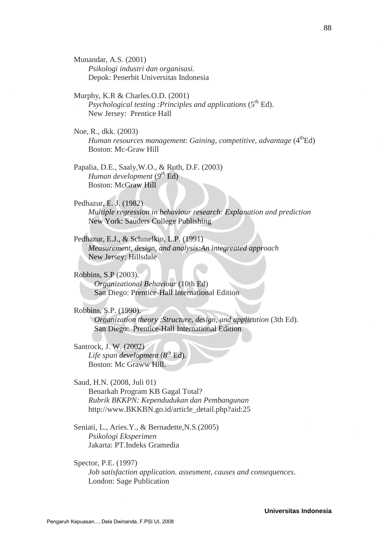Munandar, A.S. (2001) *Psikologi industri dan organisasi.* Depok: Penerbit Universitas Indonesia

Murphy, K.R & Charles.O.D. (2001) *Psychological testing :Principles and applications* (5<sup>th</sup> Ed). New Jersey: Prentice Hall

Noe, R., dkk. (2003) *Human resources management: Gaining, competitive, advantage* (4<sup>th</sup>Ed) Boston: Mc-Graw Hill

Papalia, D.E., Saaly,W.O., & Ruth, D.F. (2003) *Human development* (*9 th* Ed) Boston: McGraw Hill

Pedhazur, E. J. (1982) *Multiple regression in behaviour research: Explanation and prediction* New York: Sauders College Publishing

Pedhazur, E.J., & Schmelkin, L.P. (1991) *Measurement, design, and analysis:An integreated approach* New Jersey: Hillsdale

Robbins, S.P (2003). *Organizational Behaviour* (10th Ed) San Diego: Prentice-Hall International Edition

Robbins, S.P. (1990). *Organization theory :Structure, design, and application* (3th Ed). San Diego: Prentice-Hall International Edition

Santrock, J. W. (2002) *Life span development* (*8 th* Ed)*.* Boston: Mc Graww Hill.

Saud, H.N. (2008, Juli 01) Benarkah Program KB Gagal Total? *Rubrik BKKPN: Kependudukan dan Pembangunan* http://www.BKKBN.go.id/article\_detail.php?aid:25

Seniati, L., Aries.Y., & Bernadette,N.S.(2005) *Psikologi Eksperimen* Jakarta: PT.Indeks Gramedia

Spector, P.E. (1997) *Job satisfaction application. assesment, causes and consequences*. London: Sage Publication